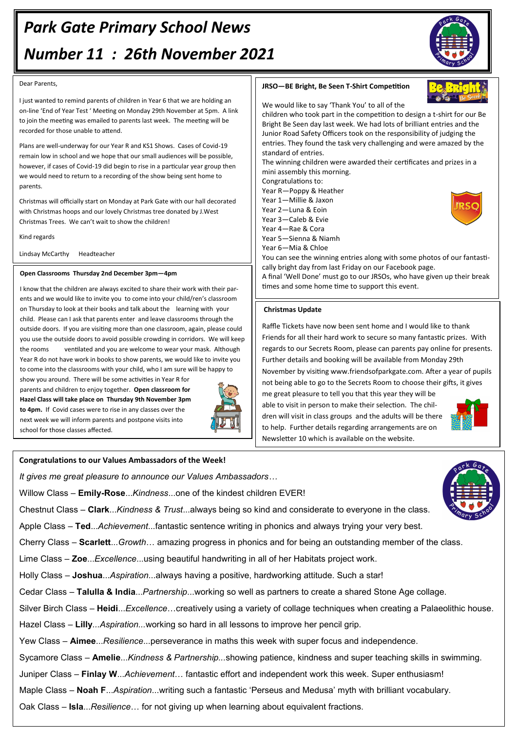#### Dear Parents,

I just wanted to remind parents of children in Year 6 that we are holding an on-line 'End of Year Test ' Meeting on Monday 29th November at 5pm. A link to join the meeting was emailed to parents last week. The meeting will be recorded for those unable to attend.

Plans are well-underway for our Year R and KS1 Shows. Cases of Covid-19 remain low in school and we hope that our small audiences will be possible, however, if cases of Covid-19 did begin to rise in a particular year group then we would need to return to a recording of the show being sent home to parents.

Christmas will officially start on Monday at Park Gate with our hall decorated with Christmas hoops and our lovely Christmas tree donated by J.West Christmas Trees. We can't wait to show the children!

Kind regards

Lindsay McCarthy Headteacher

## **Open Classrooms Thursday 2nd December 3pm—4pm**

I know that the children are always excited to share their work with their parents and we would like to invite you to come into your child/ren's classroom on Thursday to look at their books and talk about the learning with your child. Please can I ask that parents enter and leave classrooms through the outside doors. If you are visiting more than one classroom, again, please could you use the outside doors to avoid possible crowding in corridors. We will keep the rooms ventilated and you are welcome to wear your mask. Although Year R do not have work in books to show parents, we would like to invite you to come into the classrooms with your child, who I am sure will be happy to

show you around. There will be some activities in Year R for parents and children to enjoy together. **Open classroom for Hazel Class will take place on Thursday 9th November 3pm to 4pm.** If Covid cases were to rise in any classes over the next week we will inform parents and postpone visits into school for those classes affected.



# **JRSO—BE Bright, Be Seen T-Shirt Competition**



We would like to say 'Thank You' to all of the

children who took part in the competition to design a t-shirt for our Be Bright Be Seen day last week. We had lots of brilliant entries and the Junior Road Safety Officers took on the responsibility of judging the entries. They found the task very challenging and were amazed by the standard of entries.

The winning children were awarded their certificates and prizes in a mini assembly this morning.

Congratulations to:

Year R—Poppy & Heather Year 1—Millie & Jaxon

- Year 2—Luna & Eoin
- Year 3—Caleb & Evie
- Year 4—Rae & Cora

Year 5—Sienna & Niamh

Year 6—Mia & Chloe

You can see the winning entries along with some photos of our fantastically bright day from last Friday on our Facebook page.

A final 'Well Done' must go to our JRSOs, who have given up their break times and some home time to support this event.

## **Christmas Update**

Raffle Tickets have now been sent home and I would like to thank Friends for all their hard work to secure so many fantastic prizes. With regards to our Secrets Room, please can parents pay online for presents. Further details and booking will be available from Monday 29th November by visiting www.friendsofparkgate.com. After a year of pupils not being able to go to the Secrets Room to choose their gifts, it gives

me great pleasure to tell you that this year they will be able to visit in person to make their selection. The children will visit in class groups and the adults will be there to help. Further details regarding arrangements are on Newsletter 10 which is available on the website.



**Congratulations to our Values Ambassadors of the Week!**

*It gives me great pleasure to announce our Values Ambassadors…*

Willow Class – **Emily-Rose**...*Kindness*...one of the kindest children EVER!

Chestnut Class – **Clark**...*Kindness & Trust*...always being so kind and considerate to everyone in the class.

Apple Class – **Ted**...*Achievement*...fantastic sentence writing in phonics and always trying your very best.

Cherry Class – **Scarlett**...*Growth*… amazing progress in phonics and for being an outstanding member of the class.

Lime Class – **Zoe**...*Excellence*...using beautiful handwriting in all of her Habitats project work.

Holly Class – **Joshua**...*Aspiration*...always having a positive, hardworking attitude. Such a star!

Cedar Class – **Talulla & India**...*Partnership*...working so well as partners to create a shared Stone Age collage.

Silver Birch Class – **Heidi**...*Excellence*…creatively using a variety of collage techniques when creating a Palaeolithic house.

Hazel Class *–* **Lilly***...Aspiration...*working so hard in all lessons to improve her pencil grip.

Yew Class – **Aimee**...*Resilience*...perseverance in maths this week with super focus and independence.

Sycamore Class – **Amelie**...*Kindness & Partnership...*showing patience, kindness and super teaching skills in swimming.

Juniper Class – **Finlay W**...*Achievement*… fantastic effort and independent work this week. Super enthusiasm!

Maple Class – **Noah F**...*Aspiration*...writing such a fantastic 'Perseus and Medusa' myth with brilliant vocabulary.

Oak Class – **Isla**...*Resilience*… for not giving up when learning about equivalent fractions.